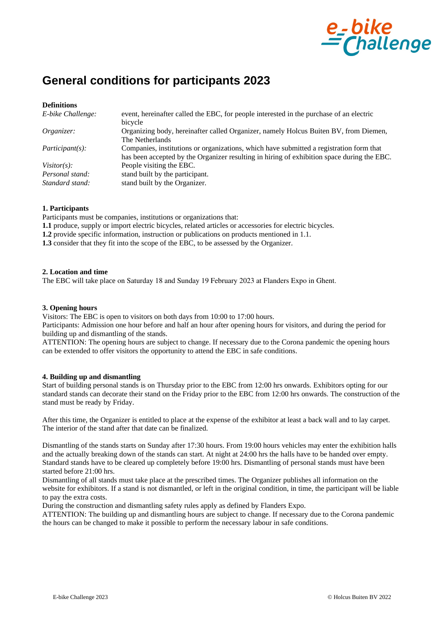

# **General conditions for participants 2023**

| E-bike Challenge:                  | event, hereinafter called the EBC, for people interested in the purchase of an electric<br>bicycle                                                                                    |
|------------------------------------|---------------------------------------------------------------------------------------------------------------------------------------------------------------------------------------|
| Organizer:                         | Organizing body, hereinafter called Organizer, namely Holcus Buiten BV, from Diemen,<br>The Netherlands                                                                               |
| <i>Participant(s):</i>             | Companies, institutions or organizations, which have submitted a registration form that<br>has been accepted by the Organizer resulting in hiring of exhibition space during the EBC. |
| Visitor $(s)$ :                    | People visiting the EBC.                                                                                                                                                              |
| Personal stand:<br>Standard stand: | stand built by the participant.<br>stand built by the Organizer.                                                                                                                      |

#### **1. Participants**

Participants must be companies, institutions or organizations that:

**1.1** produce, supply or import electric bicycles, related articles or accessories for electric bicycles.

**1.2** provide specific information, instruction or publications on products mentioned in 1.1.

**1.3** consider that they fit into the scope of the EBC, to be assessed by the Organizer.

#### **2. Location and time**

The EBC will take place on Saturday 18 and Sunday 19 February 2023 at Flanders Expo in Ghent.

#### **3. Opening hours**

Visitors: The EBC is open to visitors on both days from 10:00 to 17:00 hours.

Participants: Admission one hour before and half an hour after opening hours for visitors, and during the period for building up and dismantling of the stands.

ATTENTION: The opening hours are subject to change. If necessary due to the Corona pandemic the opening hours can be extended to offer visitors the opportunity to attend the EBC in safe conditions.

#### **4. Building up and dismantling**

Start of building personal stands is on Thursday prior to the EBC from 12:00 hrs onwards. Exhibitors opting for our standard stands can decorate their stand on the Friday prior to the EBC from 12:00 hrs onwards. The construction of the stand must be ready by Friday.

After this time, the Organizer is entitled to place at the expense of the exhibitor at least a back wall and to lay carpet. The interior of the stand after that date can be finalized.

Dismantling of the stands starts on Sunday after 17:30 hours. From 19:00 hours vehicles may enter the exhibition halls and the actually breaking down of the stands can start. At night at 24:00 hrs the halls have to be handed over empty. Standard stands have to be cleared up completely before 19:00 hrs. Dismantling of personal stands must have been started before 21:00 hrs.

Dismantling of all stands must take place at the prescribed times. The Organizer publishes all information on the website for exhibitors. If a stand is not dismantled, or left in the original condition, in time, the participant will be liable to pay the extra costs.

During the construction and dismantling safety rules apply as defined by Flanders Expo.

ATTENTION: The building up and dismantling hours are subject to change. If necessary due to the Corona pandemic the hours can be changed to make it possible to perform the necessary labour in safe conditions.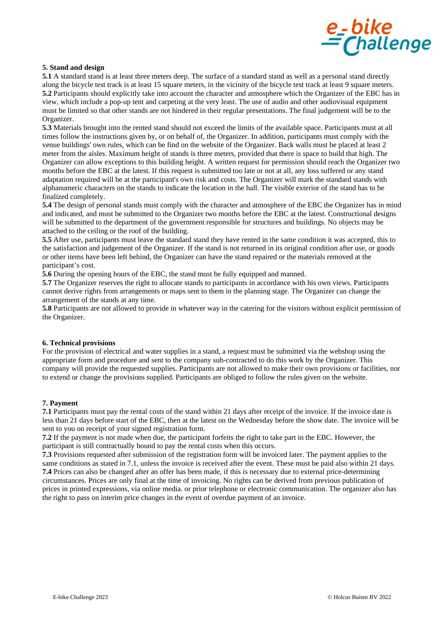

## **5. Stand and design**

**5.1** A standard stand is at least three meters deep. The surface of a standard stand as well as a personal stand directly along the bicycle test track is at least 15 square meters, in the vicinity of the bicycle test track at least 9 square meters. **5.2** Participants should explicitly take into account the character and atmosphere which the Organizer of the EBC has in view, which include a pop-up tent and carpeting at the very least. The use of audio and other audiovisual equipment must be limited so that other stands are not hindered in their regular presentations. The final judgement will be to the Organizer.

**5.3** Materials brought into the rented stand should not exceed the limits of the available space. Participants must at all times follow the instructions given by, or on behalf of, the Organizer. In addition, participants must comply with the venue buildings' own rules, which can be find on the website of the Organizer. Back walls must be placed at least 2 meter from the aisles. Maximum height of stands is three meters, provided that there is space to build that high. The Organizer can allow exceptions to this building height. A written request for permission should reach the Organizer two months before the EBC at the latest. If this request is submitted too late or not at all, any loss suffered or any stand adaptation required will be at the participant's own risk and costs. The Organizer will mark the standard stands with alphanumeric characters on the stands to indicate the location in the hall. The visible exterior of the stand has to be finalized completely.

**5.4** The design of personal stands must comply with the character and atmosphere of the EBC the Organizer has in mind and indicated, and must be submitted to the Organizer two months before the EBC at the latest. Constructional designs will be submitted to the department of the government responsible for structures and buildings. No objects may be attached to the ceiling or the roof of the building.

**5.5** After use, participants must leave the standard stand they have rented in the same condition it was accepted, this to the satisfaction and judgement of the Organizer. If the stand is not returned in its original condition after use, or goods or other items have been left behind, the Organizer can have the stand repaired or the materials removed at the participant's cost.

**5.6** During the opening hours of the EBC, the stand must be fully equipped and manned.

**5.7** The Organizer reserves the right to allocate stands to participants in accordance with his own views. Participants cannot derive rights from arrangements or maps sent to them in the planning stage. The Organizer can change the arrangement of the stands at any time.

**5.8** Participants are not allowed to provide in whatever way in the catering for the visitors without explicit permission of the Organizer.

## **6. Technical provisions**

For the provision of electrical and water supplies in a stand, a request must be submitted via the webshop using the appropriate form and procedure and sent to the company sub-contracted to do this work by the Organizer. This company will provide the requested supplies. Participants are not allowed to make their own provisions or facilities, nor to extend or change the provisions supplied. Participants are obliged to follow the rules given on the website.

## **7. Payment**

**7.1** Participants must pay the rental costs of the stand within 21 days after receipt of the invoice. If the invoice date is less than 21 days before start of the EBC, then at the latest on the Wednesday before the show date. The invoice will be sent to you on receipt of your signed registration form.

**7.2** If the payment is not made when due, the participant forfeits the right to take part in the EBC. However, the participant is still contractually bound to pay the rental costs when this occurs.

**7.3** Provisions requested after submission of the registration form will be invoiced later. The payment applies to the same conditions as stated in 7.1, unless the invoice is received after the event. These must be paid also within 21 days. **7.4** Prices can also be changed after an offer has been made, if this is necessary due to external price-determining circumstances. Prices are only final at the time of invoicing. No rights can be derived from previous publication of prices in printed expressions, via online media. or prior telephone or electronic communication. The organizer also has the right to pass on interim price changes in the event of overdue payment of an invoice.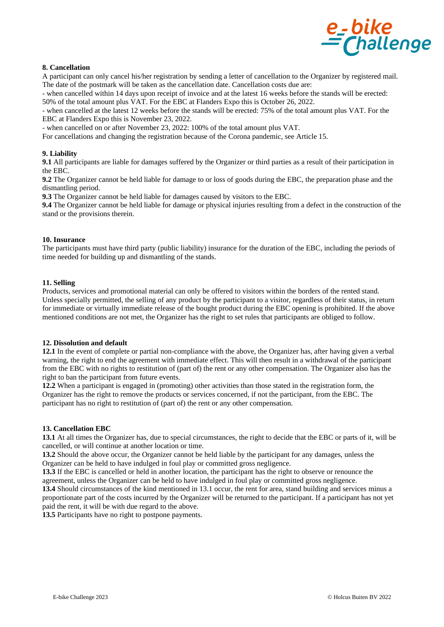

## **8. Cancellation**

A participant can only cancel his/her registration by sending a letter of cancellation to the Organizer by registered mail. The date of the postmark will be taken as the cancellation date. Cancellation costs due are:

- when cancelled within 14 days upon receipt of invoice and at the latest 16 weeks before the stands will be erected: 50% of the total amount plus VAT. For the EBC at Flanders Expo this is October 26, 2022.

- when cancelled at the latest 12 weeks before the stands will be erected: 75% of the total amount plus VAT. For the EBC at Flanders Expo this is November 23, 2022.

- when cancelled on or after November 23, 2022: 100% of the total amount plus VAT.

For cancellations and changing the registration because of the Corona pandemic, see Article 15.

## **9. Liability**

**9.1** All participants are liable for damages suffered by the Organizer or third parties as a result of their participation in the EBC.

**9.2** The Organizer cannot be held liable for damage to or loss of goods during the EBC, the preparation phase and the dismantling period.

**9.3** The Organizer cannot be held liable for damages caused by visitors to the EBC.

**9.4** The Organizer cannot be held liable for damage or physical injuries resulting from a defect in the construction of the stand or the provisions therein.

## **10. Insurance**

The participants must have third party (public liability) insurance for the duration of the EBC, including the periods of time needed for building up and dismantling of the stands.

#### **11. Selling**

Products, services and promotional material can only be offered to visitors within the borders of the rented stand. Unless specially permitted, the selling of any product by the participant to a visitor, regardless of their status, in return for immediate or virtually immediate release of the bought product during the EBC opening is prohibited. If the above mentioned conditions are not met, the Organizer has the right to set rules that participants are obliged to follow.

## **12. Dissolution and default**

**12.1** In the event of complete or partial non-compliance with the above, the Organizer has, after having given a verbal warning, the right to end the agreement with immediate effect. This will then result in a withdrawal of the participant from the EBC with no rights to restitution of (part of) the rent or any other compensation. The Organizer also has the right to ban the participant from future events.

**12.2** When a participant is engaged in (promoting) other activities than those stated in the registration form, the Organizer has the right to remove the products or services concerned, if not the participant, from the EBC. The participant has no right to restitution of (part of) the rent or any other compensation.

#### **13. Cancellation EBC**

**13.1** At all times the Organizer has, due to special circumstances, the right to decide that the EBC or parts of it, will be cancelled, or will continue at another location or time.

**13.2** Should the above occur, the Organizer cannot be held liable by the participant for any damages, unless the Organizer can be held to have indulged in foul play or committed gross negligence.

**13.3** If the EBC is cancelled or held in another location, the participant has the right to observe or renounce the agreement, unless the Organizer can be held to have indulged in foul play or committed gross negligence.

**13.4** Should circumstances of the kind mentioned in 13.1 occur, the rent for area, stand building and services minus a proportionate part of the costs incurred by the Organizer will be returned to the participant. If a participant has not yet paid the rent, it will be with due regard to the above.

**13.5** Participants have no right to postpone payments.